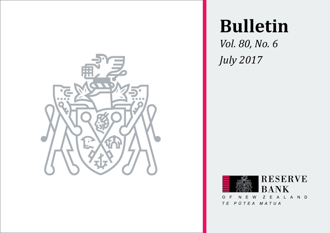

# **Bulletin**

*Vol. 80, No. 6 July 2017*



TE PŪTEA MATUA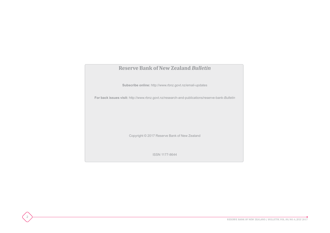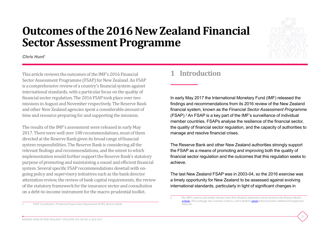# **Outcomes of the 2016 New Zealand Financial Sector Assessment Programme**

*Chris Hunt1*



3

This article reviews the outcomes of the IMF's 2016 Financial Sector Assessment Programme (FSAP) for New Zealand. An FSAP is a comprehensive review of a country's financial system against international standards, with a particular focus on the quality of financial sector regulation. The 2016 FSAP took place over two missions in August and November respectively. The Reserve Bank and other New Zealand agencies spent a considerable amount of time and resource preparing for and supporting the missions.

The results of the IMF's assessment were released in early May 2017. There were well over 100 recommendations, most of them directed at the Reserve Bank given its broad range of financial system responsibilities. The Reserve Bank is considering all the relevant findings and recommendations, and the extent to which implementation would further support the Reserve Bank's statutory purpose of promoting and maintaining a sound and efficient financial system. Several specific FSAP recommendations dovetail with ongoing policy and supervisory initiatives such as the bank director attestation review, the review of bank capital requirements, the review of the statutory framework for the insurance sector and consultation on a debt-to-income instrument for the macro-prudential toolkit.

# **1 Introduction**

In early May 2017 the International Monetary Fund (IMF) released the findings and recommendations from its 2016 review of the New Zealand financial system, known as the *Financial Sector Assessment Programme* (FSAP).2 An FSAP is a key part of the IMF's surveillance of individual member countries. FSAPs analyse the resilience of the financial sector, the quality of financial sector regulation, and the capacity of authorities to manage and resolve financial crises.

The Reserve Bank and other New Zealand authorities strongly support the FSAP as a means of promoting and improving both the quality of financial sector regulation and the outcomes that this regulation seeks to achieve.

The last New Zealand FSAP was in 2003-04, so the 2016 exercise was a timely opportunity for New Zealand to be assessed against evolving international standards, particularly in light of significant changes in

<sup>1</sup> FSAP 'Coordinator', Prudential Supervision Department (PSD), Reserve Bank.

<sup>2</sup> The IMF's reports and media releases from New Zealand authorities can be found on the Reserve Bank's [website](http://www.rbnz.govt.nz/regulation-and-supervision/financial-sector-assessment-programme). This webpage also contains a link to a 2016 *Bulletin* [article](http://www.rbnz.govt.nz/-/media/ReserveBank/Files/Publications/Bulletins/2016/2016apr79-7.pdf) which provides additional background material.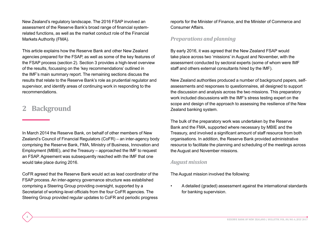New Zealand's regulatory landscape. The 2016 FSAP involved an assessment of the Reserve Bank's broad range of financial systemrelated functions, as well as the market conduct role of the Financial Markets Authority (FMA).

This article explains how the Reserve Bank and other New Zealand agencies prepared for the FSAP, as well as some of the key features of the FSAP process (section 2). Section 3 provides a high-level overview of the results, focussing on the 'key recommendations' outlined in the IMF's main summary report. The remaining sections discuss the results that relate to the Reserve Bank's role as prudential regulator and supervisor, and identify areas of continuing work in responding to the recommendations.

# **2 Background**

4

In March 2014 the Reserve Bank, on behalf of other members of New Zealand's Council of Financial Regulators (CoFR) – an inter-agency body comprising the Reserve Bank, FMA, Ministry of Business, Innovation and Employment (MBIE), and the Treasury – approached the IMF to request an FSAP. Agreement was subsequently reached with the IMF that one would take place during 2016.

CoFR agreed that the Reserve Bank would act as lead coordinator of the FSAP process. An inter-agency governance structure was established comprising a Steering Group providing oversight, supported by a Secretariat of working-level officials from the four CoFR agencies. The Steering Group provided regular updates to CoFR and periodic progress reports for the Minister of Finance, and the Minister of Commerce and Consumer Affairs.

## *Preparations and planning*

By early 2016, it was agreed that the New Zealand FSAP would take place across two 'missions' in August and November, with the assessment conducted by sectoral experts (some of whom were IMF staff and others external consultants hired by the IMF).

New Zealand authorities produced a number of background papers, selfassessments and responses to questionnaires, all designed to support the discussion and analysis across the two missions. This preparatory work included discussions with the IMF's stress testing expert on the scope and design of the approach to assessing the resilience of the New Zealand banking system.

The bulk of the preparatory work was undertaken by the Reserve Bank and the FMA, supported where necessary by MBIE and the Treasury, and involved a significant amount of staff resource from both organisations. In addition, the Reserve Bank provided administrative resource to facilitate the planning and scheduling of the meetings across the August and November missions.

#### *August mission*

The August mission involved the following:

• A detailed (graded) assessment against the international standards for banking supervision.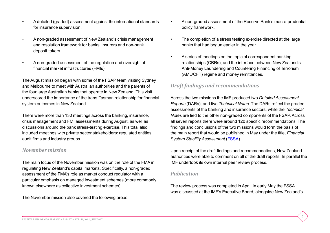- A detailed (graded) assessment against the international standards for insurance supervision.
- A non-graded assessment of New Zealand's crisis management and resolution framework for banks, insurers and non-bank deposit-takers.
- A non-graded assessment of the regulation and oversight of financial market infrastructures (FMIs).

The August mission began with some of the FSAP team visiting Sydney and Melbourne to meet with Australian authorities and the parents of the four large Australian banks that operate in New Zealand. This visit underscored the importance of the trans-Tasman relationship for financial system outcomes in New Zealand.

There were more than 130 meetings across the banking, insurance, crisis management and FMI assessments during August, as well as discussions around the bank stress-testing exercise. This total also included meetings with private sector stakeholders: regulated entities, audit firms and industry groups.

## *November mission*

The main focus of the November mission was on the role of the FMA in regulating New Zealand's capital markets. Specifically, a non-graded assessment of the FMA's role as market conduct regulator with a particular emphasis on managed investment schemes (more commonly known elsewhere as collective investment schemes).

The November mission also covered the following areas:

- A non-graded assessment of the Reserve Bank's macro-prudential policy framework.
- The completion of a stress testing exercise directed at the large banks that had begun earlier in the year.
- A series of meetings on the topic of correspondent banking relationships (CBRs), and the interface between New Zealand's Anti-Money Laundering and Countering Financing of Terrorism (AML/CFT) regime and money remittances.

## *Draft findings and recommendations*

Across the two missions the IMF produced two *Detailed Assessment Reports* (DARs), and five *Technical Notes*. The DARs reflect the graded assessments of the banking and insurance sectors, while the *Technical Notes* are tied to the other non-graded components of the FSAP. Across all seven reports there were around 120 specific recommendations. The findings and conclusions of the two missions would form the basis of the main report that would be published in May under the title, *Financial*  **System Stability Assessment [\(FSSA\)](http://www.rbnz.govt.nz/-/media/ReserveBank/Files/regulation-and-supervision/FSAP/new-zealand-FSAP-2016-FSSA.pdf?la=en).** 

Upon receipt of the draft findings and recommendations, New Zealand authorities were able to comment on all of the draft reports. In parallel the IMF undertook its own internal peer review process.

## *Publication*

The review process was completed in April. In early May the FSSA was discussed at the IMF's Executive Board, alongside New Zealand's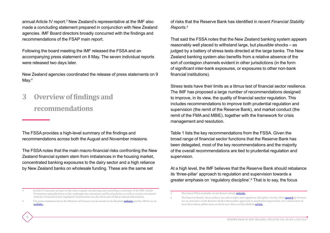annual Article IV report.<sup>3</sup> New Zealand's representative at the IMF also made a concluding statement prepared in conjunction with New Zealand agencies. IMF Board directors broadly concurred with the findings and recommendations of the FSAP main report.

Following the board meeting the IMF released the FSSA and an accompanying press statement on 8 May. The seven individual reports were released two days later.

New Zealand agencies coordinated the release of press statements on 9 May.<sup>4</sup>

**3 Overviewoffindings and recommendations**

6

The FSSA provides a high-level summary of the findings and recommendations across both the August and November missions.

The FSSA notes that the main macro-financial risks confronting the New Zealand financial system stem from imbalances in the housing market, concentrated banking exposures to the dairy sector and a high reliance by New Zealand banks on wholesale funding. These are the same set

of risks that the Reserve Bank has identified in recent *Financial Stability Reports*. 5

That said the FSSA notes that the New Zealand banking system appears reasonably well placed to withstand large, but plausible shocks – as judged by a battery of stress tests directed at the large banks. The New Zealand banking system also benefits from a relative absence of the sort of contagion channels evident in other jurisdictions (in the form of significant inter-bank exposures, or exposures to other non-bank financial institutions).

Stress tests have their limits as a litmus test of financial sector resilience. The IMF has proposed a large number of recommendations designed to improve, in its view, the quality of financial sector regulation. This includes recommendations to improve both prudential regulation and supervision (the remit of the Reserve Bank), and market conduct (the remit of the FMA and MBIE), together with the framework for crisis management and resolution.

Table 1 lists the key recommendations from the FSSA. Given the broad range of financial sector functions that the Reserve Bank has been delegated, most of the key recommendations and the majority of the overall recommendations are tied to prudential regulation and supervision.

At a high level, the IMF believes that the Reserve Bank should rebalance its 'three-pillar' approach to regulation and supervision towards a greater emphasis on 'regulatory discipline'.<sup>6</sup> That is to say, the focus

5 The latest *FSR* is available on the Reserve Bank [website.](http://www.rbnz.govt.nz/financial-stability/financial-stability-report)

<sup>3</sup> Article IV missions are part of the more regular monitoring and surveillance activities of the IMF. Article IV missions typically focus on the exchange rate, monetary and fiscal policies, as well as various structural reforms. Financial sector regulatory frameworks can also form part of these annual discussions.

The press statement from the Minister of Finance can be found on the Beehive [website](https://www.beehive.govt.nz/release/imf-reports-positively-new-zealand) and the FMA's on its [website.](https://fma.govt.nz/news/media-releases/imf-nz-fsap-assessment-2017)

<sup>6</sup> The Reserve Bank's 'three-pillars' are self, market and regulatory discipline. See the 2016 [speech](http://www.rbnz.govt.nz/-/media/ReserveBank/Files/Publications/Speeches/2016/NZs-evolving-approach-to-prudential-supervision.pdf) by Fiennes for an overview of the Reserve Bank's three pillar approach to prudential supervision. For a discussion of how these three pillars have evolved over time see this *Bulletin* [article.](http://www.rbnz.govt.nz/-/media/ReserveBank/Files/Publications/Bulletins/2016/2016aug79-14.pdf)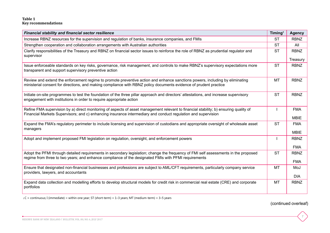#### **Table 1 Key recommendations**

| <b>Financial stability and financial sector resilience</b>                                                                                                                                                                                             | Timing <sup>1</sup> | <b>Agency</b>             |
|--------------------------------------------------------------------------------------------------------------------------------------------------------------------------------------------------------------------------------------------------------|---------------------|---------------------------|
| Increase RBNZ resources for the supervision and regulation of banks, insurance companies, and FMIs                                                                                                                                                     | <b>ST</b>           | <b>RBNZ</b>               |
| Strengthen cooperation and collaboration arrangements with Australian authorities                                                                                                                                                                      | <b>ST</b>           | All                       |
| Clarify responsibilities of the Treasury and RBNZ on financial sector issues to reinforce the role of RBNZ as prudential regulator and<br>supervisor                                                                                                   | <b>ST</b>           | <b>RBNZ</b>               |
|                                                                                                                                                                                                                                                        |                     | Treasury                  |
| Issue enforceable standards on key risks, governance, risk management, and controls to make RBNZ's supervisory expectations more<br>transparent and support supervisory preventive action                                                              | <b>ST</b>           | <b>RBNZ</b>               |
| Review and extend the enforcement regime to promote preventive action and enhance sanctions powers, including by eliminating<br>ministerial consent for directions, and making compliance with RBNZ policy documents evidence of prudent practice      | MT                  | <b>RBNZ</b>               |
| Initiate on-site programmes to test the foundation of the three pillar approach and directors' attestations, and increase supervisory<br>engagement with institutions in order to require appropriate action                                           | <b>ST</b>           | <b>RBNZ</b>               |
| Refine FMA supervision by a) direct monitoring of aspects of asset management relevant to financial stability; b) ensuring quality of<br>Financial Markets Supervisors; and c) enhancing insurance intermediary and conduct regulation and supervision |                     | <b>FMA</b><br><b>MBIE</b> |
| Expand the FMA's regulatory perimeter to include licensing and supervision of custodians and appropriate oversight of wholesale asset<br>managers                                                                                                      | <b>ST</b>           | <b>FMA</b><br><b>MBIE</b> |
| Adopt and implement proposed FMI legislation on regulation, oversight, and enforcement powers                                                                                                                                                          |                     | <b>RBNZ</b><br><b>FMA</b> |
| Adopt the PFMI through detailed requirements in secondary legislation; change the frequency of FMI self assessments in the proposed<br>regime from three to two years; and enhance compliance of the designated FMIs with PFMI requirements            | <b>ST</b>           | <b>RBNZ</b><br><b>FMA</b> |
| Ensure that designated non-financial businesses and professions are subject to AML/CFT requirements, particularly company service                                                                                                                      | MT                  | MoJ                       |
| providers, lawyers, and accountants                                                                                                                                                                                                                    |                     | <b>DIA</b>                |
| Expand data collection and modelling efforts to develop structural models for credit risk in commercial real estate (CRE) and corporate<br>portfolios                                                                                                  | <b>MT</b>           | <b>RBNZ</b>               |

1 C = continuous; I (immediate) = within one year; ST (short-term) = 1–3 years; MT (medium-term) = 3–5 years

(continued overleaf)

7

 $\bullet$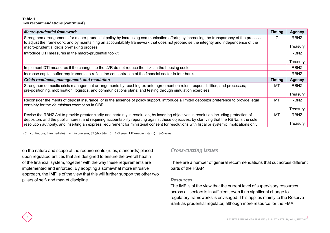#### **Table 1 Key recommendations (continued)**

8

| <b>Macro-prudential framework</b>                                                                                                                                                                                                                                                        | <b>Timing</b> | <b>Agency</b> |
|------------------------------------------------------------------------------------------------------------------------------------------------------------------------------------------------------------------------------------------------------------------------------------------|---------------|---------------|
| Strengthen arrangements for macro-prudential policy by increasing communication efforts; by increasing the transparency of the process<br>to adjust the framework; and by maintaining an accountability framework that does not jeopardise the integrity and independence of the         | C             | <b>RBNZ</b>   |
| macro-prudential decision-making process                                                                                                                                                                                                                                                 |               | Treasury      |
| Introduce DTI measures in the macro-prudential toolkit                                                                                                                                                                                                                                   |               | <b>RBNZ</b>   |
|                                                                                                                                                                                                                                                                                          |               | Treasury      |
| Implement DTI measures if the changes to the LVR do not reduce the risks in the housing sector                                                                                                                                                                                           |               | <b>RBNZ</b>   |
| Increase capital buffer requirements to reflect the concentration of the financial sector in four banks                                                                                                                                                                                  |               | <b>RBNZ</b>   |
| Crisis readiness, management, and resolution                                                                                                                                                                                                                                             | <b>Timing</b> | <b>Agency</b> |
| Strengthen domestic crisis management arrangements by reaching ex ante agreement on roles, responsibilities, and processes;<br>pre-positioning, mobilisation, logistics, and communications plans; and testing through simulation exercises                                              | MT            | <b>RBNZ</b>   |
|                                                                                                                                                                                                                                                                                          |               | Treasury      |
| Reconsider the merits of deposit insurance, or in the absence of policy support, introduce a limited depositor preference to provide legal<br>certainty for the de minimis exemption in OBR                                                                                              | <b>MT</b>     | <b>RBNZ</b>   |
|                                                                                                                                                                                                                                                                                          |               | Treasury      |
| Revise the RBNZ Act to provide greater clarity and certainty in resolution, by inserting objectives in resolution including protection of<br>depositors and the public interest and requiring accountability reporting against these objectives; by clarifying that the RBNZ is the sole | MT            | <b>RBNZ</b>   |
| resolution authority, and inserting an express requirement for ministerial consent for resolutions with fiscal or systemic implications only                                                                                                                                             |               | Treasury      |

1 C = continuous; I (immediate) = within one year; ST (short-term) = 1–3 years; MT (medium-term) = 3–5 years

on the nature and scope of the requirements (rules, standards) placed upon regulated entities that are designed to ensure the overall health of the financial system, together with the way these requirements are implemented and enforced. By adopting a somewhat more intrusive approach, the IMF is of the view that this will further support the other two pillars of self- and market discipline.

#### *Cross-cutting issues*

There are a number of general recommendations that cut across different parts of the FSAP.

#### *Resources*

The IMF is of the view that the current level of supervisory resources across all sectors is insufficient, even if no significant change to regulatory frameworks is envisaged. This applies mainly to the Reserve Bank as prudential regulator, although more resource for the FMA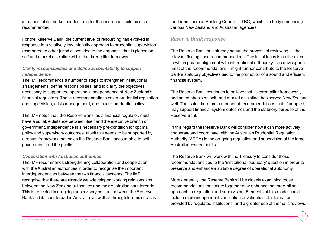in respect of its market conduct role for the insurance sector is also recommended.

For the Reserve Bank, the current level of resourcing has evolved in response to a relatively low-intensity approach to prudential supervision (compared to other jurisdictions) tied to the emphasis that is placed on self and market discipline within the three-pillar framework.

### *Clarify responsibilities and define accountability to support independence*

The IMF recommends a number of steps to strengthen institutional arrangements, define responsibilities, and to clarify the objectives necessary to support the operational independence of New Zealand's financial regulators. These recommendations cover prudential regulation and supervision, crisis management, and macro-prudential policy.

The IMF notes that the Reserve Bank, as a financial regulator, must have a suitable distance between itself and the executive branch of government. Independence is a necessary pre-condition for optimal policy and supervisory outcomes, albeit this needs to be supported by a robust framework that holds the Reserve Bank accountable to both government and the public.

#### *Cooperation with Australian authorities*

The IMF recommends strengthening collaboration and cooperation with the Australian authorities in order to recognise the important interdependencies between the two financial systems. The IMF recognise that there are already well-developed working relationships between the New Zealand authorities and their Australian counterparts. This is reflected in on-going supervisory contact between the Reserve Bank and its counterpart in Australia, as well as through forums such as the Trans-Tasman Banking Council (TTBC) which is a body comprising various New Zealand and Australian agencies.

## *Reserve Bank response*

The Reserve Bank has already begun the process of reviewing all the relevant findings and recommendations. The initial focus is on the extent to which greater alignment with international orthodoxy – as envisaged in most of the recommendations – might further contribute to the Reserve Bank's statutory objectives tied to the promotion of a sound and efficient financial system.

The Reserve Bank continues to believe that its three-pillar framework, and an emphasis on self- and market discipline, has served New Zealand well. That said, there are a number of recommendations that, if adopted, may support financial system outcomes and the statutory purpose of the Reserve Bank.

In this regard the Reserve Bank will consider how it can more actively cooperate and coordinate with the Australian Prudential Regulation Authority (APRA) in the on-going regulation and supervision of the large Australian-owned banks.

The Reserve Bank will work with the Treasury to consider those recommendations tied to the 'institutional boundary' question in order to preserve and enhance a suitable degree of operational autonomy.

More generally, the Reserve Bank will be closely examining those recommendations that taken together may enhance the three-pillar approach to regulation and supervision. Elements of this model could include more independent verification or validation of information provided by regulated institutions, and a greater use of thematic reviews.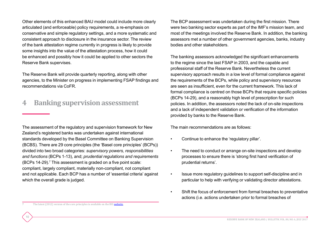Other elements of this enhanced BAU model could include more clearly articulated (and enforceable) policy requirements, a re-emphasis on conservative and simple regulatory settings, and a more systematic and consistent approach to disclosure in the insurance sector. The review of the bank attestation regime currently in progress is likely to provide some insights into the value of the attestation process, how it could be enhanced and possibly how it could be applied to other sectors the Reserve Bank supervises.

The Reserve Bank will provide quarterly reporting, along with other agencies, to the Minister on progress in implementing FSAP findings and recommendations via CoFR.

# **4 Banking supervision assessment**

The assessment of the regulatory and supervision framework for New Zealand's registered banks was undertaken against international standards developed by the Basel Committee on Banking Supervision (BCBS). There are 29 core principles (the 'Basel core principles' (BCPs)) divided into two broad categories: *supervisory powers, responsibilities and functions* (BCPs 1-13), and; *prudential regulations and requirements*   $(BCPs 14-29)$ .<sup>7</sup> This assessment is graded on a five point scale: compliant, largely compliant, materially non-compliant, not compliant and not applicable. Each BCP has a number of 'essential criteria' against which the overall grade is judged.

The BCP assessment was undertaken during the first mission. There were two banking sector experts as part of the IMF's mission team, and most of the meetings involved the Reserve Bank. In addition, the banking assessors met a number of other government agencies, banks, industry bodies and other stakeholders.

The banking assessors acknowledged the significant enhancements to the regime since the last FSAP in 2003, and the capable and professional staff of the Reserve Bank. Nevertheless the current supervisory approach results in a low level of formal compliance against the requirements of the BCPs, while policy and supervisory resources are seen as insufficient, even for the current framework. This lack of formal compliance is centred on those BCPs that require specific policies (BCPs 14-29), and a reasonably high level of prescription for such policies. In addition, the assessors noted the lack of on-site inspections and a lack of independent validation or verification of the information provided by banks to the Reserve Bank.

The main recommendations are as follows:

- Continue to enhance the 'regulatory pillar'.
- The need to conduct or arrange on-site inspections and develop processes to ensure there is 'strong first hand verification of prudential returns'.
- Issue more regulatory guidelines to support self-discipline and in particular to help with verifying or validating director attestations.
- Shift the focus of enforcement from formal breaches to preventative actions (i.e. actions undertaken prior to formal breaches of

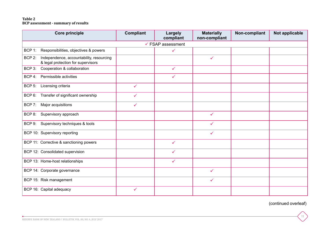#### **Table 2 BCP assessment - summary of results**

|                              | <b>Core principle</b>                                                          | <b>Compliant</b> | <b>Largely</b><br>compliant | <b>Materially</b><br>non-compliant | Non-compliant | Not applicable |  |  |
|------------------------------|--------------------------------------------------------------------------------|------------------|-----------------------------|------------------------------------|---------------|----------------|--|--|
| $\checkmark$ FSAP assessment |                                                                                |                  |                             |                                    |               |                |  |  |
| BCP 1:                       | Responsibilities, objectives & powers                                          |                  | ✓                           |                                    |               |                |  |  |
| BCP 2:                       | Independence, accountability, resourcing<br>& legal protection for supervisors |                  |                             | $\checkmark$                       |               |                |  |  |
| BCP 3:                       | Cooperation & collaboration                                                    |                  | $\checkmark$                |                                    |               |                |  |  |
| BCP 4:                       | Permissible activities                                                         |                  | ✓                           |                                    |               |                |  |  |
| BCP <sub>5</sub> :           | Licensing criteria                                                             | $\checkmark$     |                             |                                    |               |                |  |  |
| BCP 6:                       | Transfer of significant ownership                                              | $\checkmark$     |                             |                                    |               |                |  |  |
| BCP 7:                       | Major acquisitions                                                             | $\checkmark$     |                             |                                    |               |                |  |  |
| BCP 8:                       | Supervisory approach                                                           |                  |                             | $\checkmark$                       |               |                |  |  |
| BCP 9:                       | Supervisory techniques & tools                                                 |                  |                             | $\checkmark$                       |               |                |  |  |
|                              | BCP 10: Supervisory reporting                                                  |                  |                             | $\checkmark$                       |               |                |  |  |
|                              | BCP 11: Corrective & sanctioning powers                                        |                  | $\checkmark$                |                                    |               |                |  |  |
|                              | BCP 12: Consolidated supervision                                               |                  | ✓                           |                                    |               |                |  |  |
|                              | BCP 13: Home-host relationships                                                |                  | $\checkmark$                |                                    |               |                |  |  |
|                              | BCP 14: Corporate governance                                                   |                  |                             | $\checkmark$                       |               |                |  |  |
|                              | BCP 15: Risk management                                                        |                  |                             | $\checkmark$                       |               |                |  |  |
|                              | BCP 16: Capital adequacy                                                       | $\checkmark$     |                             |                                    |               |                |  |  |

(continued overleaf)

**C**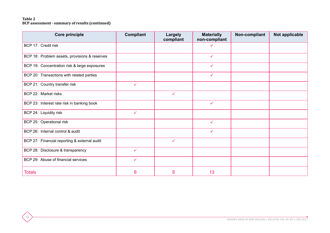#### **Table 2 BCP assessment - summary of results (continued)**

| <b>Core principle</b>                         | <b>Compliant</b> | <b>Largely</b><br>compliant | <b>Materially</b><br>non-compliant | Non-compliant | Not applicable |
|-----------------------------------------------|------------------|-----------------------------|------------------------------------|---------------|----------------|
| BCP 17: Credit risk                           |                  |                             | ✓                                  |               |                |
| BCP 18: Problem assets, provisions & reserves |                  |                             | $\checkmark$                       |               |                |
| BCP 19: Concentration risk & large exposures  |                  |                             | $\checkmark$                       |               |                |
| BCP 20: Transactions with related parties     |                  |                             | $\checkmark$                       |               |                |
| BCP 21: Country transfer risk                 | $\checkmark$     |                             |                                    |               |                |
| BCP 22: Market risks                          |                  | $\checkmark$                |                                    |               |                |
| BCP 23: Interest rate risk in banking book    |                  |                             | $\checkmark$                       |               |                |
| BCP 24: Liquidity risk                        | $\checkmark$     |                             |                                    |               |                |
| BCP 25: Operational risk                      |                  |                             | $\checkmark$                       |               |                |
| BCP 26: Internal control & audit              |                  |                             | $\checkmark$                       |               |                |
| BCP 27: Financial reporting & external audit  |                  | ✓                           |                                    |               |                |
| BCP 28: Disclosure & transparency             | $\checkmark$     |                             |                                    |               |                |
| BCP 29: Abuse of financial services           | $\checkmark$     |                             |                                    |               |                |
| <b>Totals</b>                                 | 8                | 8                           | 13                                 |               |                |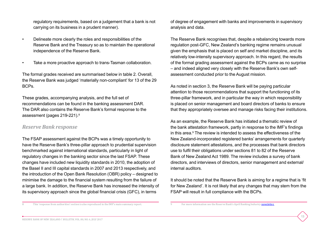regulatory requirements, based on a judgement that a bank is not carrying on its business in a prudent manner).

- Delineate more clearly the roles and responsibilities of the Reserve Bank and the Treasury so as to maintain the operational independence of the Reserve Bank.
- Take a more proactive approach to trans-Tasman collaboration.

The formal grades received are summarised below in table 2. Overall, the Reserve Bank was judged 'materially non-compliant' for 13 of the 29 BCPs.

These grades, accompanying analysis, and the full set of recommendations can be found in the banking assessment DAR. The DAR also contains the Reserve Bank's formal response to the assessment (pages 219-221).8

## *Reserve Bank response*

The FSAP assessment against the BCPs was a timely opportunity to have the Reserve Bank's three-pillar approach to prudential supervision benchmarked against international standards, particularly in light of regulatory changes in the banking sector since the last FSAP. These changes have included new liquidity standards in 2010, the adoption of the Basel II and III capital standards in 2007 and 2013 respectively, and the introduction of the Open Bank Resolution (OBR) policy – designed to minimise the damage to the financial system resulting from the failure of a large bank. In addition, the Reserve Bank has increased the intensity of its supervisory approach since the global financial crisis (GFC), in terms

of degree of engagement with banks and improvements in supervisory analysis and data.

The Reserve Bank recognises that, despite a rebalancing towards more regulation post-GFC, New Zealand's banking regime remains unusual given the emphasis that is placed on self and market discipline, and its relatively low-intensity supervisory approach. In this regard, the results of the formal grading assessment against the BCPs came as no surprise – and indeed aligned very closely with the Reserve Bank's own selfassessment conducted prior to the August mission.

As noted in section 3, the Reserve Bank will be paying particular attention to those recommendations that support the functioning of its three-pillar framework, and in particular the way in which responsibility is placed on senior management and board directors of banks to ensure that they appropriately oversee and manage risks facing their institutions.

As an example, the Reserve Bank has initiated a thematic review of the bank attestation framework, partly in response to the IMF's findings in this area.<sup>9</sup> The review is intended to assess the effectiveness of the New Zealand-incorporated registered banks' arrangements for quarterly disclosure statement attestations, and the processes that bank directors use to fulfil their obligations under sections 81 to 82 of the Reserve Bank of New Zealand Act 1989. The review includes a survey of bank directors, and interviews of directors, senior management and external/ internal auditors.

It should be noted that the Reserve Bank is aiming for a regime that is 'fit for New Zealand'. It is not likely that any changes that may stem from the FSAP will result in full compliance with the BCPs.

13

8 This 'response from authorities' section is also reproduced in the IMF's main summary report.

For more information see the Reserve Bank's April Banking Industry [newsletter](http://www.rbnz.govt.nz/-/media/ReserveBank/Files/regulation-and-supervision/banks/publications/Banking-industry-update-newsletter-apr2017.pdf?la=en).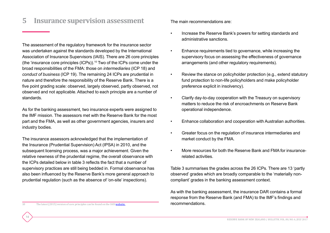# **5 Insurance supervision assessment**

The assessment of the regulatory framework for the insurance sector was undertaken against the standards developed by the International Association of Insurance Supervisors (IAIS). There are 26 core principles (the 'insurance core principles (ICPs)).10 Two of the ICPs come under the broad responsibilities of the FMA: those on *intermediaries* (ICP 18) and *conduct of business* (ICP 19). The remaining 24 ICPs are prudential in nature and therefore the responsibility of the Reserve Bank. There is a five point grading scale: observed, largely observed, partly observed, not observed and not applicable. Attached to each principle are a number of standards.

As for the banking assessment, two insurance experts were assigned to the IMF mission. The assessors met with the Reserve Bank for the most part and the FMA, as well as other government agencies, insurers and industry bodies.

The insurance assessors acknowledged that the implementation of the Insurance (Prudential Supervision) Act (IPSA) in 2010, and the subsequent licensing process, was a major achievement. Given the relative newness of the prudential regime, the overall observance with the ICPs detailed below in table 3 reflects the fact that a number of supervisory practices are still being bedded in. Formal observance has also been influenced by the Reserve Bank's more general approach to prudential regulation (such as the absence of 'on-site' inspections).

The main recommendations are:

- Increase the Reserve Bank's powers for setting standards and administrative sanctions.
- Enhance requirements tied to governance, while increasing the supervisory focus on assessing the effectiveness of governance arrangements (and other regulatory requirements).
- Review the stance on policyholder protection (e.g., extend statutory fund protection to non-life policyholders and make policyholder preference explicit in insolvency).
- Clarify day-to-day cooperation with the Treasury on supervisory matters to reduce the risk of encroachments on Reserve Bank operational independence.
- Enhance collaboration and cooperation with Australian authorities.
- Greater focus on the regulation of insurance intermediaries and market conduct by the FMA.
- More resources for both the Reserve Bank and FMA for insurancerelated activities.

Table 3 summarises the grades across the 26 ICPs. There are 13 'partly observed' grades which are broadly comparable to the 'materially noncompliant' grades in the banking assessment context.

As with the banking assessment, the insurance DAR contains a formal response from the Reserve Bank (and FMA) to the IMF's findings and recommendations.

10 The latest (2015) version of core principles can be found on the IAIS [website.](https://www.iaisweb.org/page/supervisory-material/insurance-core-principles/)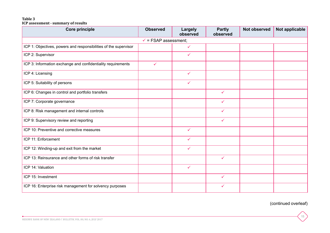#### **Table 3 ICP assessment - summary of results**

| Core principle                                                   | <b>Observed</b> | Largely<br>observed | <b>Partly</b><br>observed | <b>Not observed</b> | Not applicable |  |  |
|------------------------------------------------------------------|-----------------|---------------------|---------------------------|---------------------|----------------|--|--|
| $\checkmark$ = FSAP assessment;                                  |                 |                     |                           |                     |                |  |  |
| ICP 1: Objectives, powers and responsibilities of the supervisor |                 | $\checkmark$        |                           |                     |                |  |  |
| ICP 2: Supervisor                                                |                 | $\checkmark$        |                           |                     |                |  |  |
| ICP 3: Information exchange and confidentiality requirements     | $\checkmark$    |                     |                           |                     |                |  |  |
| ICP 4: Licensing                                                 |                 | $\checkmark$        |                           |                     |                |  |  |
| ICP 5: Suitability of persons                                    |                 | $\checkmark$        |                           |                     |                |  |  |
| ICP 6: Changes in control and portfolio transfers                |                 |                     | $\checkmark$              |                     |                |  |  |
| ICP 7: Corporate governance                                      |                 |                     | $\checkmark$              |                     |                |  |  |
| ICP 8: Risk management and internal controls                     |                 |                     | $\checkmark$              |                     |                |  |  |
| ICP 9: Supervisory review and reporting                          |                 |                     | $\checkmark$              |                     |                |  |  |
| ICP 10: Preventive and corrective measures                       |                 | $\checkmark$        |                           |                     |                |  |  |
| ICP 11: Enforcement                                              |                 | $\checkmark$        |                           |                     |                |  |  |
| ICP 12: Winding-up and exit from the market                      |                 | $\checkmark$        |                           |                     |                |  |  |
| ICP 13: Reinsurance and other forms of risk transfer             |                 |                     | $\checkmark$              |                     |                |  |  |
| ICP 14: Valuation                                                |                 | $\checkmark$        |                           |                     |                |  |  |
| ICP 15: Investment                                               |                 |                     | $\checkmark$              |                     |                |  |  |
| ICP 16: Enterprise risk management for solvency purposes         |                 |                     | $\checkmark$              |                     |                |  |  |

(continued overleaf)

**C**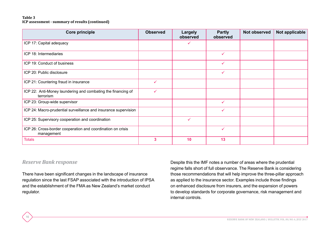#### **Table 3 ICP assessment - summary of results (continued)**

| <b>Core principle</b>                                                     | <b>Observed</b> | Largely<br>observed | <b>Partly</b><br>observed | Not observed | Not applicable |
|---------------------------------------------------------------------------|-----------------|---------------------|---------------------------|--------------|----------------|
| ICP 17: Capital adequacy                                                  |                 |                     |                           |              |                |
| ICP 18: Intermediaries                                                    |                 |                     | $\checkmark$              |              |                |
| ICP 19: Conduct of business                                               |                 |                     | $\checkmark$              |              |                |
| ICP 20: Public disclosure                                                 |                 |                     | $\checkmark$              |              |                |
| ICP 21: Countering fraud in insurance                                     | $\checkmark$    |                     |                           |              |                |
| ICP 22: Anti-Money laundering and combating the financing of<br>terrorism | $\checkmark$    |                     |                           |              |                |
| ICP 23: Group-wide supervisor                                             |                 |                     | $\checkmark$              |              |                |
| ICP 24: Macro-prudential surveillance and insurance supervision           |                 |                     | $\checkmark$              |              |                |
| ICP 25: Supervisory cooperation and coordination                          |                 | ✓                   |                           |              |                |
| ICP 26: Cross-border cooperation and coordination on crisis<br>management |                 |                     | $\checkmark$              |              |                |
| <b>Totals</b>                                                             | 3               | 10                  | 13                        |              |                |

#### *Reserve Bank response*

16

There have been significant changes in the landscape of insurance regulation since the last FSAP associated with the introduction of IPSA and the establishment of the FMA as New Zealand's market conduct regulator.

Despite this the IMF notes a number of areas where the prudential regime falls short of full observance. The Reserve Bank is considering those recommendations that will help improve the three-pillar approach as applied to the insurance sector. Examples include those findings on enhanced disclosure from insurers, and the expansion of powers to develop standards for corporate governance, risk management and internal controls.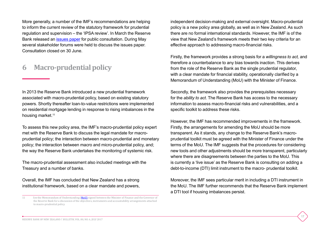More generally, a number of the IMF's recommendations are helping to inform the current review of the statutory framework for prudential regulation and supervision – the 'IPSA review'. In March the Reserve Bank released an [issues paper](http://www.rbnz.govt.nz/-/media/ReserveBank/Files/Publications/Policy-development/Insurers/IPSA-review/IPSA%20Review%20Issues%20Paper%20Mar%202017.pdf?la=en) for public consultation. During May several stakeholder forums were held to discuss the issues paper. Consultation closed on 30 June.

# **6 Macro-prudential policy**

In 2013 the Reserve Bank introduced a new prudential framework associated with macro-prudential policy, based on existing statutory powers. Shortly thereafter loan-to-value restrictions were implemented on residential mortgage lending in response to rising imbalances in the housing market.<sup>11</sup>

To assess this new policy area, the IMF's macro-prudential policy expert met with the Reserve Bank to discuss the legal mandate for macroprudential policy; the interaction between macro-prudential and monetary policy; the interaction between macro and micro-prudential policy, and; the way the Reserve Bank undertakes the monitoring of systemic risk.

The macro-prudential assessment also included meetings with the Treasury and a number of banks.

Overall, the IMF has concluded that New Zealand has a strong institutional framework, based on a clear mandate and powers, independent decision-making and external oversight. Macro-prudential policy is a new policy area globally, as well as in New Zealand. As such there are no formal international standards. However, the IMF is of the view that New Zealand's framework meets their two key criteria for an effective approach to addressing macro-financial risks.

Firstly, the framework provides a strong basis for a *willingness to act,* and therefore a counterbalance to any bias towards inaction. This derives from the role of the Reserve Bank as the single prudential regulator, with a clear mandate for financial stability, operationally clarified by a Memorandum of Understanding (MoU) with the Minister of Finance.

Secondly, the framework also provides the prerequisites necessary for the *ability to act*. The Reserve Bank has access to the necessary information to assess macro-financial risks and vulnerabilities, and a specific toolkit to address these risks.

However, the IMF has recommended improvements in the framework. Firstly, the arrangements for amending the MoU should be more transparent. As it stands, any change to the Reserve Bank's macroprudential toolkit must be agreed with the Minister of Finance under the terms of the MoU. The IMF suggests that the procedures for considering new tools and other adjustments should be more transparent, particularly where there are disagreements between the parties to the MoU. This is currently a 'live issue' as the Reserve Bank is consulting on adding a debt-to-income (DTI) limit instrument to the macro- prudential toolkit.

Moreover, the IMF sees particular merit in including a DTI instrument in the MoU. The IMF further recommends that the Reserve Bank implement a DTI tool if housing imbalances persist.

<sup>11</sup> See the Memorandum of Understanding ([MoU\)](http://www.rbnz.govt.nz/financial-stability/macro-prudential-policy/mou-between-minister-of-finance-and-governor-of-rbnz) signed between the Minister of Finance and the Governor of the Reserve Bank for a discussion of the objectives, instruments and accountability arrangements attached to macro-prudential policy.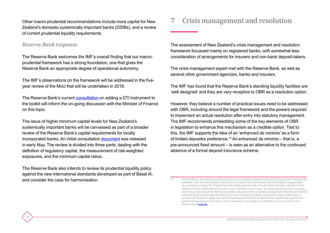Other macro-prudential recommendations include more capital for New Zealand's domestic systemically important banks (DSIBs), and a review of current prudential liquidity requirements.

## *Reserve Bank response*

18

The Reserve Bank welcomes the IMF's overall finding that our macroprudential framework has a strong foundation, one that gives the Reserve Bank an appropriate degree of operational autonomy.

The IMF's observations on the framework will be addressed in the fiveyear review of the MoU that will be undertaken in 2018.

The Reserve Bank's current [consultation](http://www.rbnz.govt.nz/-/media/ReserveBank/Files/Publications/Policy-development/Banks/DTI/Consultation-paper-DTIs-June-2017.pdf?la=en) on adding a DTI instrument to the toolkit will inform the on-going discussion with the Minister of Finance on this topic.

The issue of higher minimum capital levels for New Zealand's systemically important banks will be canvassed as part of a broader review of the Reserve Bank's capital requirements for locally incorporated banks. An initial consultation [document](http://www.rbnz.govt.nz/-/media/ReserveBank/Files/Publications/Policy-development/Banks/Review-capital-adequacy-framework-for-registered-banks/capital-review-issues-paper-may2017.pdf?la=en) was released in early May. The review is divided into three parts: dealing with the definition of regulatory capital, the measurement of risk-weighted exposures, and the minimum capital ratios.

The Reserve Bank also intends to review its prudential liquidity policy against the new international standards developed as part of Basel III, and consider the case for harmonisation.

# **7 Crisis management and resolution**

The assessment of New Zealand's crisis management and resolution framework focussed mainly on registered banks, with somewhat less consideration of arrangements for insurers and non-bank deposit-takers.

The crisis management expert met with the Reserve Bank, as well as several other government agencies, banks and insurers.

The IMF has found that the Reserve Bank's standing liquidity facilities are 'well designed' and they are very receptive to OBR as a resolution option.

However, they believe a number of practical issues need to be addressed with OBR, including around the legal framework and the powers required to implement an actual resolution after entry into statutory management. The IMF recommends embedding some of the key elements of OBR in legislation to enhance this mechanism as a credible option. Tied to this, the IMF supports the idea of an 'enhanced *de minimis'* as a form of limited depositor preference.12 An enhanced *de minimis* – that is, a pre-announced fixed amount – is seen as an alternative to the continued absence of a formal deposit insurance scheme.

<sup>12</sup> Under OBR the *de minimis* is a dollar amount that is protected from the allocation of losses and remains fully available to the account holders when the bank reopens the next business day following the appointment of a statutory manager. For depositors with a balance greater than the *de minimis* amount, a portion of the additional funds will be 'frozen' in order to be available to bear losses. For those depositors any remaining unfrozen portion (together with the *de minimis* amount) will be available and guaranteed by the government when the bank re-opens the next day. Under the current policy, there is no fixed *de minimis* allowance. A decision on whether to apply one, and the appropriate level, will be taken on the day having regard to the specific circumstances of the failure. More information about Open Bank Resolution is available on the Reserve Bank [website](http://www.rbnz.govt.nz/regulation-and-supervision/banks/open-bank-resolution).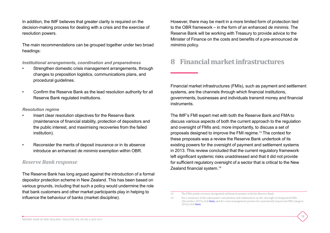In addition, the IMF believes that greater clarity is required on the decision-making process for dealing with a crisis and the exercise of resolution powers.

The main recommendations can be grouped together under two broad headings:

*Institutional arrangements, coordination and preparedness*

- Strengthen domestic crisis management arrangements, through changes to preposition logistics, communications plans, and procedural guidelines.
- Confirm the Reserve Bank as the lead resolution authority for all Reserve Bank regulated institutions.

#### *Resolution regime*

- Insert clear resolution objectives for the Reserve Bank (maintenance of financial stability, protection of depositors and the public interest, and maximising recoveries from the failed institution).
- Reconsider the merits of deposit insurance or in its absence introduce an enhanced *de minimis* exemption within OBR.

## *Reserve Bank response*

The Reserve Bank has long argued against the introduction of a formal depositor protection scheme in New Zealand. This has been based on various grounds, including that such a policy would undermine the role that bank customers and other market participants play in helping to influence the behaviour of banks (market discipline).

However, there may be merit in a more limited form of protection tied to the OBR framework – in the form of an enhanced *de minimis*. The Reserve Bank will be working with Treasury to provide advice to the Minister of Finance on the costs and benefits of a pre-announced *de mimimis* policy.

# **8 Financial market infrastructures**

Financial market infrastructures (FMIs), such as payment and settlement systems, are the channels through which financial institutions, governments, businesses and individuals transmit money and financial instruments.

The IMF's FMI expert met with both the Reserve Bank and FMA to discuss various aspects of both the current approach to the regulation and oversight of FMIs and, more importantly, to discuss a set of proposals designed to improve the FMI regime.13 The context for these proposals was a review the Reserve Bank undertook of its existing powers for the oversight of payment and settlement systems in 2013. This review concluded that the current regulatory framework left significant systemic risks unaddressed and that it did not provide for sufficient regulatory oversight of a sector that is critical to the New Zealand financial system.<sup>14</sup>

<sup>13</sup> The FMA jointly oversees designated settlement systems with the Reserve Bank.

<sup>14</sup> For a summary of the subsequent consultation and submissions on the oversight of designated FMIs (December, 2015) click [here,](http://www.rbnz.govt.nz/-/media/ReserveBank/Files/regulation-and-supervision/financial-market-infrastructure-oversight/regulatory%20developments/summary-of-submissions-and-final-policy-proposals-FMI-oversight-dec-2015.pdf?la=en) and for crisis management powers for systemically important FMIs (August, 2016) click [here](http://www.rbnz.govt.nz/-/media/ReserveBank/Files/regulation-and-supervision/financial-market-infrastructure-oversight/2016-08-summary-of%20submissions-on-FMI-crisis-management.pdf?la=en).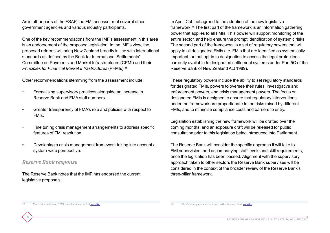As in other parts of the FSAP, the FMI assessor met several other government agencies and various industry participants.

One of the key recommendations from the IMF's assessment in this area is an endorsement of the proposed legislation. In the IMF's view, the proposed reforms will bring New Zealand broadly in line with international standards as defined by the Bank for International Settlements' Committee on Payments and Market Infrastructures (CPMI) and their *Principles for Financial Market Infrastructures* (PFMIs).15

Other recommendations stemming from the assessment include:

- Formalising supervisory practices alongside an increase in Reserve Bank and FMA staff numbers.
- Greater transparency of FMA's role and policies with respect to FMIs.
- Fine tuning crisis management arrangements to address specific features of FMI resolution.
- Developing a crisis management framework taking into account a system-wide perspective.

## *Reserve Bank response*

20

The Reserve Bank notes that the IMF has endorsed the current legislative proposals.

In April, Cabinet agreed to the adoption of the new legislative framework.16 The first part of the framework is an information gathering power that applies to all FMIs. This power will support monitoring of the entire sector, and help ensure the prompt identification of systemic risks. The second part of the framework is a set of regulatory powers that will apply to all designated FMIs (i.e. FMIs that are identified as systemically important, or that opt-in to designation to access the legal protections currently available to designated settlement systems under Part 5C of the Reserve Bank of New Zealand Act 1989).

These regulatory powers include the ability to set regulatory standards for designated FMIs, powers to oversee their rules, investigative and enforcement powers, and crisis management powers. The focus on designated FMIs is designed to ensure that regulatory interventions under the framework are proportionate to the risks raised by different FMIs, and to minimise compliance costs and barriers to entry.

Legislation establishing the new framework will be drafted over the coming months, and an exposure draft will be released for public consultation prior to this legislation being introduced into Parliament.

The Reserve Bank will consider the specific approach it will take to FMI supervision, and accompanying staff levels and skill requirements, once the legislation has been passed. Alignment with the supervisory approach taken to other sectors the Reserve Bank supervises will be considered in the context of the broader review of the Reserve Bank's three-pillar framework.

15 More information on CPMI is available on the BIS [website.](http://www.bis.org/cpmi/index.htm?m=3%7C16%7C627)

<sup>16</sup> The Cabinet paper can be found on the Reserve Bank [website](http://www.rbnz.govt.nz/-/media/ReserveBank/Files/regulation-and-supervision/financial-market-infrastructure-oversight/regulatory%20developments/FMIs-Cabinet-paper.pdf?la=en).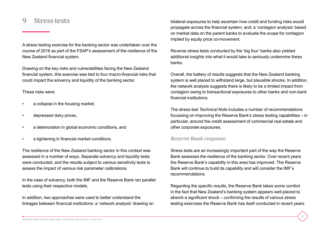## **9 Stress tests**

A stress testing exercise for the banking sector was undertaken over the course of 2016 as part of the FSAP's assessment of the resilience of the New Zealand financial system.

Drawing on the key risks and vulnerabilities facing the New Zealand financial system, this exercise was tied to four macro-financial risks that could impact the solvency and liquidity of the banking sector.

#### These risks were:

- a collapse in the housing market,
- depressed dairy prices,
- a deterioration in global economic conditions, and
- a tightening in financial market conditions.

The resilience of the New Zealand banking sector in this context was assessed in a number of ways. Separate solvency and liquidity tests were conducted, and the results subject to various sensitivity tests to assess the impact of various risk parameter calibrations.

In the case of solvency, both the IMF and the Reserve Bank ran parallel tests using their respective models.

In addition, two approaches were used to better understand the linkages between financial institutions: a 'network analysis' drawing on bilateral exposures to help ascertain how credit and funding risks would propagate across the financial system, and: a 'contagion analysis' based on market data on the parent banks to evaluate the scope for contagion implied by equity price co-movement.

Reverse stress tests conducted by the 'big four' banks also yielded additional insights into what it would take to seriously undermine these banks.

Overall, the battery of results suggests that the New Zealand banking system is well placed to withstand large, but plausible shocks. In addition, the network analysis suggests there is likely to be a limited impact from contagion owing to transactional exposures to other banks and non-bank financial institutions.

The stress test *Technical Note* includes a number of recommendations focussing on improving the Reserve Bank's stress testing capabilities – in particular, around the credit assessment of commercial real estate and other corporate exposures.

### *Reserve Bank response*

Stress tests are an increasingly important part of the way the Reserve Bank assesses the resilience of the banking sector. Over recent years the Reserve Bank's capability in this area has improved. The Reserve Bank will continue to build its capability and will consider the IMF's recommendations.

Regarding the specific results, the Reserve Bank takes some comfort in the fact that New Zealand's banking system appears well-placed to absorb a significant shock – confirming the results of various stress testing exercises the Reserve Bank has itself conducted in recent years.